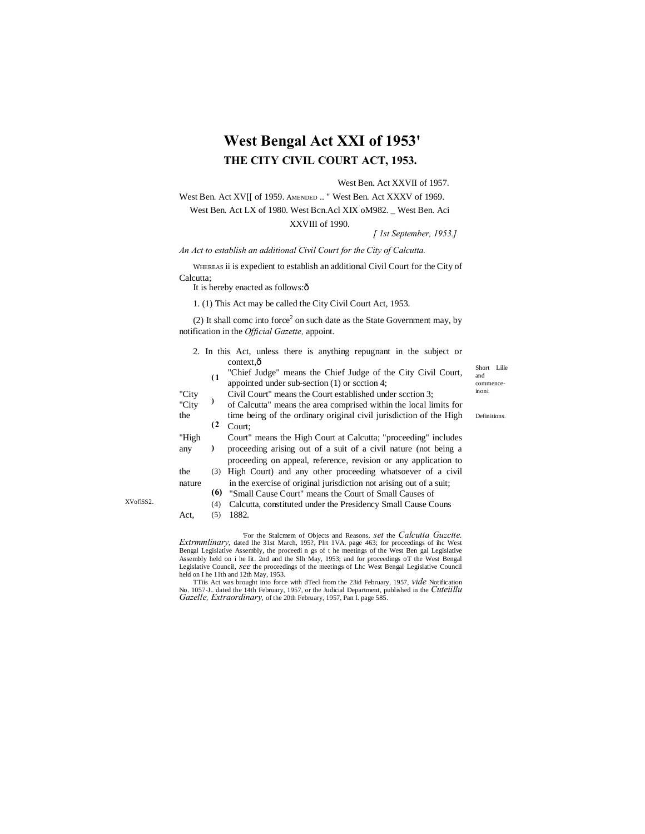# **West Bengal Act XXI of 1953' THE CITY CIVIL COURT ACT, 1953.**

#### West Ben. Act XXVII of 1957.

West Ben. Act XV<sup>[[ of 1959. AMENDED .. " West Ben. Act XXXV of 1969.</sup> West Ben. Act LX of 1980. West Bcn.Acl XIX oM982. \_ West Ben. Aci

#### XXVIII of 1990.

*[ 1st September, 1953.]*

## *An Act to establish an additional Civil Court for the City of Calcutta.*

WHEREAS ii is expedient to establish an additional Civil Court for the City of Calcutta;

It is hereby enacted as follows: $\hat{o}$ 

1. (1) This Act may be called the City Civil Court Act, 1953.

(2) It shall come into force<sup>2</sup> on such date as the State Government may, by notification in the *Official Gazette,* appoint.

|        |     | 2. In this Act, unless there is anything repugnant in the subject or                                          |                  |
|--------|-----|---------------------------------------------------------------------------------------------------------------|------------------|
|        |     | context, ô                                                                                                    | Short Lille      |
|        | (1) | "Chief Judge" means the Chief Judge of the City Civil Court,<br>appointed under sub-section (1) or section 4; | and<br>commence- |
| "City  |     | Civil Court" means the Court established under scction 3:                                                     | inoni.           |
| "City  |     | of Calcutta" means the area comprised within the local limits for                                             |                  |
| the    |     | time being of the ordinary original civil jurisdiction of the High                                            | Definitions.     |
|        | (2) | Court:                                                                                                        |                  |
| "High  |     | Court" means the High Court at Calcutta; "proceeding" includes                                                |                  |
| any    |     | proceeding arising out of a suit of a civil nature (not being a                                               |                  |
|        |     | proceeding on appeal, reference, revision or any application to                                               |                  |
| the    | (3) | High Court) and any other proceeding whatsoever of a civil                                                    |                  |
| nature |     | in the exercise of original jurisdiction not arising out of a suit;                                           |                  |
|        | (6) | "Small Cause Court" means the Court of Small Causes of                                                        |                  |
|        | (4) | Calcutta, constituted under the Presidency Small Cause Couns                                                  |                  |
| Act.   | (5) | 1882.                                                                                                         |                  |
|        |     |                                                                                                               |                  |

For the Stalcmem of Objects and Reasons, *set* the *Calcutta Guzctte.*<br>Extrmmlinary, dated the 31st March, 195?, Plrt 1VA. page 463; for proceedings of ihc West<br>Bengal Legislative Assembly, the proceedings of the meetings Assembly held on i he lit. 2nd and the Slh May, 1953; and for proceedings oT the West Bengal Legislative Council, *see* the proceedings of the meetings of Lhc West Bengal Legislative Council held on I he 11th and 12th May, 1953.

TTiis Act was brought into force with dTecl from the 23id February, 1957, *vide* Notification No. 1057-J.. dated the 14th February, 1957, or the Judicial Department, published in the *Cuteiillu Gazelle, Extraordinary*, of

XVoflSS2.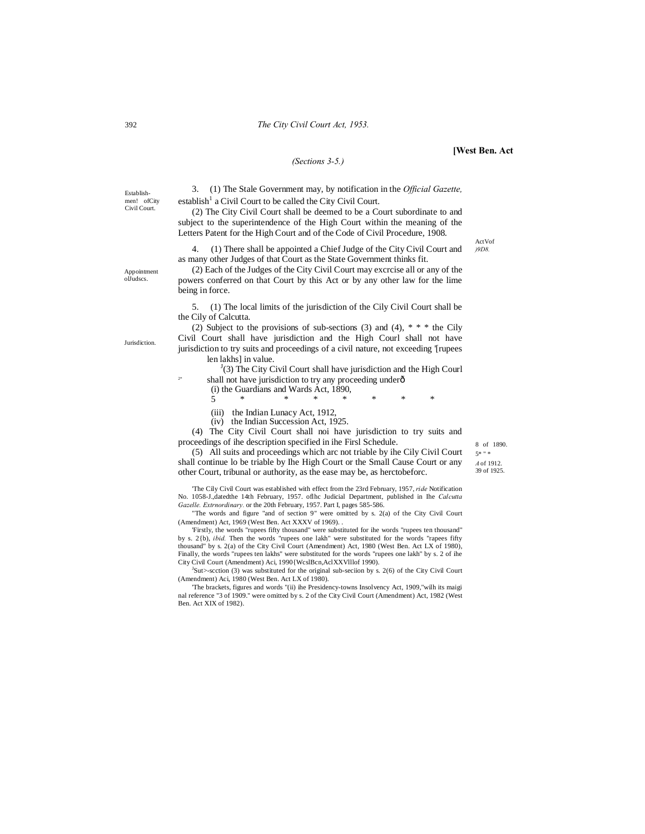ActVof *)9D8.*

Establishmen! ofCity Civil Court.

3. (1) The Stale Government may, by notification in the *Official Gazette,*  $establish<sup>1</sup>$  a Civil Court to be called the City Civil Court.

*(Sections 3-5.)*

(2) The City Civil Court shall be deemed to be a Court subordinate to and subject to the superintendence of the High Court within the meaning of the Letters Patent for the High Court and of the Code of Civil Procedure, 1908.

4. (1) There shall be appointed a Chief Judge of the City Civil Court and as many other Judges of that Court as the State Government thinks fit.

Appointment olJudscs.

(2) Each of the Judges of the City Civil Court may excrcise all or any of the powers conferred on that Court by this Act or by any other law for the lime being in force.

5. (1) The local limits of the jurisdiction of the Cily Civil Court shall be the Cily of Calcutta.

(2) Subject to the provisions of sub-sections (3) and (4),  $* * *$  the Cily Civil Court shall have jurisdiction and the High Courl shall not have jurisdiction to try suits and proceedings of a civil nature, not exceeding '[rupees len lakhs] in value.

 $(3)$  The City Civil Court shall have jurisdiction and the High Courl shall not have jurisdiction to try any proceeding underô

(i) the Guardians and Wards Act, 1890,

5 \* \* \* \* \* \* \*

(iii) the Indian Lunacy Act, 1912,

(iv) the Indian Succession Act, 1925.

(4) The City Civil Court shall noi have jurisdiction to try suits and proceedings of ihe description specified in ihe Firsl Schedule.

(5) All suits and proceedings which arc not triable by ihe Cily Civil Court shall continue lo be triable by Ihe High Court or the Small Cause Court or any other Court, tribunal or authority, as the ease may be, as herctobeforc.

'The Cily Civil Court was established with effect from the 23rd February, 1957, *ride* Notification No. 1058-J.,datedthe 14th February, 1957. oflhc Judicial Department, published in Ihe *Calcutta Gazelle. Extrnordinary.* or the 20th February, 1957. Part I, pages 585-586.

"The words and figure "and of section 9" were omitted by s. 2(a) of the City Civil Court (Amendment) Act, 1969 (West Ben. Act XXXV of 1969). .

'Firstly, the words "rupees fifty thousand" were substituted for ihe words "rupees ten thousand" by s. 2{b), *ibid.* Then the words "rupees one lakh" were substituted for the words "rapees fifty thousand" by s. 2(a) of the City Civil Court (Amendment) Act, 1980 (West Ben. Act LX of 1980), Finally, the words "rupees ten lakhs" were substituted for the words "rupees one lakh" by s. 2 of ihe City Civil Court (Amendment) Aci, 1990{WcslBcn,AclXXVlllof 1990).

 $J_{\text{Sut}}$  -scction (3) was substituted for the original sub-seciion by s. 2(6) of the City Civil Court (Amendment) Aci, 1980 (West Ben. Act LX of 1980).

'The brackets, figures and words "(ii) ihe Presidency-towns Insolvency Act, 1909,"wilh its maigi nal reference "3 of 1909." were omitted by s. 2 of the City Civil Court (Amendment) Act, 1982 (West Ben. Act XIX of 1982).

8 of 1890. 5\* " \* *A* of 1912. 39 of 1925.

392

**Jurisdiction** 

2\*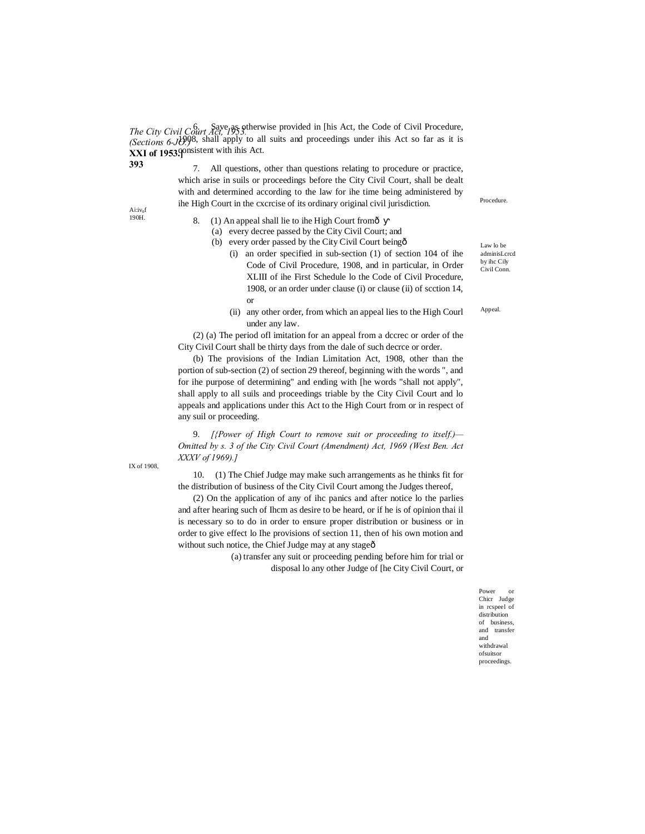*The City Civil Court Act, 1953.*<br>  $\frac{6}{2}$  *Save as otherwise provided in [his Act, the Code of Civil Procedure, 1954.] (Sections 6-JO.*)<sup>8</sup>, shall apply to all suits and proceedings under ihis Act so far as it is **XXI of 1953.** POSSER with ihis Act.

> 7. All questions, other than questions relating to procedure or practice, which arise in suils or proceedings before the City Civil Court, shall be dealt with and determined according to the law for ihe time being administered by ihe High Court in the cxcrcise of its ordinary original civil jurisdiction.

Ai:iv<sub>of</sub> 190H.

**393**

- 8. (1) An appeal shall lie to ihe High Court fromô
	- (a) every decree passed by the City Civil Court; and
	- (b) every order passed by the City Civil Court being $\hat{o}$ 
		- (i) an order specified in sub-section (1) of section 104 of ihe Code of Civil Procedure, 1908, and in particular, in Order XLIII of ihe First Schedule lo the Code of Civil Procedure, 1908, or an order under clause (i) or clause (ii) of scction 14, or
		- (ii) any other order, from which an appeal lies to the High Courl under any law.

(2) (a) The period ofl imitation for an appeal from a dccrec or order of the City Civil Court shall be thirty days from the dale of such decrce or order.

(b) The provisions of the Indian Limitation Act, 1908, other than the portion of sub-section (2) of section 29 thereof, beginning with the words ", and for ihe purpose of determining" and ending with [he words "shall not apply", shall apply to all suils and proceedings triable by the City Civil Court and lo appeals and applications under this Act to the High Court from or in respect of any suil or proceeding.

9. *[{Power of High Court to remove suit or proceeding to itself.)— Omitted by s. 3 of the City Civil Court (Amendment) Act, 1969 (West Ben. Act XXXV of 1969).]*

10. (1) The Chief Judge may make such arrangements as he thinks fit for the distribution of business of the City Civil Court among the Judges thereof,

(2) On the application of any of ihc panics and after notice lo the parlies and after hearing such of Ihcm as desire to be heard, or if he is of opinion thai il is necessary so to do in order to ensure proper distribution or business or in order to give effect lo Ihe provisions of section 11, then of his own motion and without such notice, the Chief Judge may at any stage $\hat{o}$ 

> (a) transfer any suit or proceeding pending before him for trial or disposal lo any other Judge of [he City Civil Court, or

> > Power or Chicr Judge in rcspeel of distribution of business, and transfer and withdrawal ofsuitsor proceedings.

Procedure.

Law lo be adminisLcrcd by ihc Cily Civil Conn.

Appeal.

IX of 1908,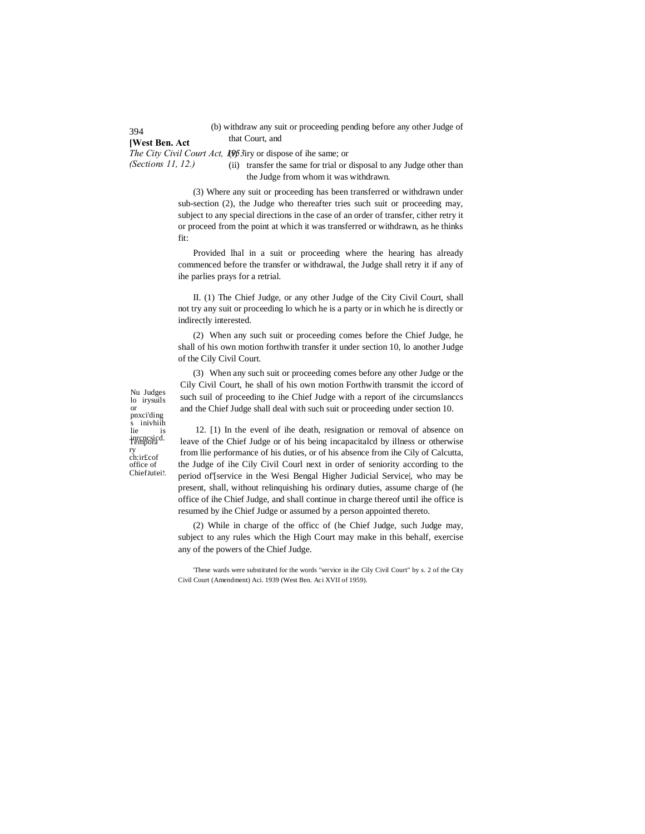(b) withdraw any suit or proceeding pending before any other Judge of that Court, and

**[West Ben. Act** The City Civil Court Act, 1(9)53iry or dispose of ihe same; or

*(Sections 11, 12.)* (ii) transfer the same for trial or disposal to any Judge other than

the Judge from whom it was withdrawn.

(3) Where any suit or proceeding has been transferred or withdrawn under sub-section (2), the Judge who thereafter tries such suit or proceeding may, subject to any special directions in the case of an order of transfer, cither retry it or proceed from the point at which it was transferred or withdrawn, as he thinks fit:

Provided lhal in a suit or proceeding where the hearing has already commenced before the transfer or withdrawal, the Judge shall retry it if any of ihe parlies prays for a retrial.

II. (1) The Chief Judge, or any other Judge of the City Civil Court, shall not try any suit or proceeding lo which he is a party or in which he is directly or indirectly interested.

(2) When any such suit or proceeding comes before the Chief Judge, he shall of his own motion forthwith transfer it under section 10, lo another Judge of the Cily Civil Court.

(3) When any such suit or proceeding comes before any other Judge or the Cily Civil Court, he shall of his own motion Forthwith transmit the iccord of such suil of proceeding to ihe Chief Judge with a report of ihe circumslanccs and the Chief Judge shall deal with such suit or proceeding under section 10.

Nu Judges lo irysuils or pnxci'ding s inivhiih<br>lie is inrcncsicd. Tempora ry<br>ch:ir£cof office of Chief **<sup>J</sup>**u**U**ei**?.**

12. [1) In the evenl of ihe death, resignation or removal of absence on leave of the Chief Judge or of his being incapacitalcd by illness or otherwise from llie performance of his duties, or of his absence from ihe Cily of Calcutta, the Judge of ihe Cily Civil Courl next in order of seniority according to the period of'[service in the Wesi Bengal Higher Judicial Service|, who may be present, shall, without relinquishing his ordinary duties, assume charge of (he office of ihe Chief Judge, and shall continue in charge thereof until ihe office is resumed by ihe Chief Judge or assumed by a person appointed thereto.

(2) While in charge of the officc of (he Chief Judge, such Judge may, subject to any rules which the High Court may make in this behalf, exercise any of the powers of the Chief Judge.

#### 394

<sup>&#</sup>x27;These wards were substituted for the words "service in ihe Cily Civil Court" by s. 2 of the City Civil Court (Amendment) Aci. 1939 (West Ben. Aci XVII of 1959).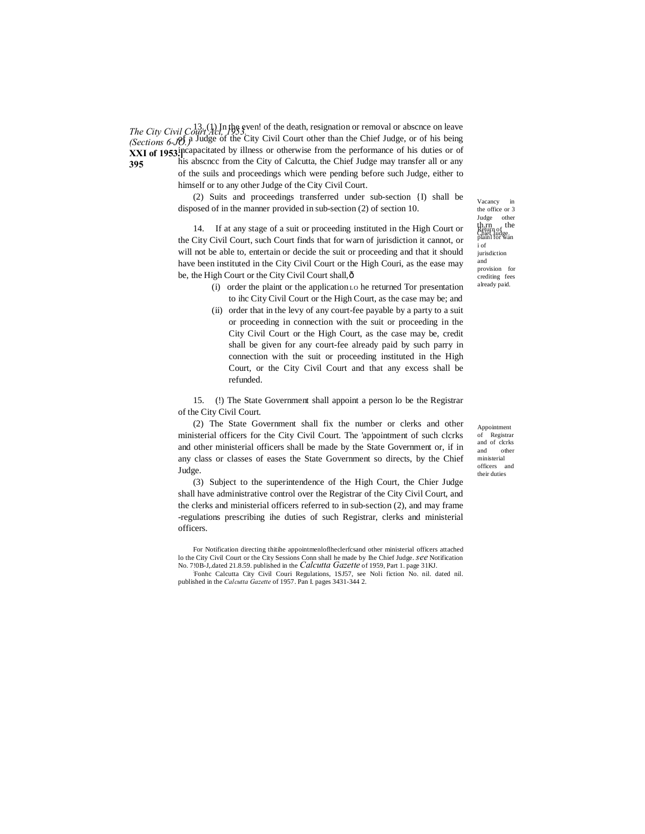*The City Civil Court Act, 1953. (Sections 6-JO.)* **XXI of 1953.** performance of his duties or of the performance of his duties or of **395**  $13. (1)$  In the even! of the death, resignation or removal or abscnce on leave of a Judge of the City Civil Court other than the Chief Judge, or of his being his abscncc from the City of Calcutta, the Chief Judge may transfer all or any

of the suils and proceedings which were pending before such Judge, either to himself or to any other Judge of the City Civil Court.

(2) Suits and proceedings transferred under sub-section {I) shall be disposed of in the manner provided in sub-section (2) of section 10.

14. If at any stage of a suit or proceeding instituted in the High Court or the City Civil Court, such Court finds that for warn of jurisdiction it cannot, or will not be able to, entertain or decide the suit or proceeding and that it should have been instituted in the City Civil Court or the High Couri, as the ease may be, the High Court or the City Civil Court shall, $\hat{o}$ 

- (i) order the plaint or the application LO he returned Tor presentation to ihc City Civil Court or the High Court, as the case may be; and
- (ii) order that in the levy of any court-fee payable by a party to a suit or proceeding in connection with the suit or proceeding in the City Civil Court or the High Court, as the case may be, credit shall be given for any court-fee already paid by such parry in connection with the suit or proceeding instituted in the High Court, or the City Civil Court and that any excess shall be refunded.

15. (!) The State Government shall appoint a person lo be the Registrar of the City Civil Court.

(2) The State Government shall fix the number or clerks and other ministerial officers for the City Civil Court. The 'appointment of such clcrks and other ministerial officers shall be made by the State Government or, if in any class or classes of eases the State Government so directs, by the Chief Judge.

(3) Subject to the superintendence of the High Court, the Chier Judge shall have administrative control over the Registrar of the City Civil Court, and the clerks and ministerial officers referred to in sub-section (2), and may frame -regulations prescribing ihe duties of such Registrar, clerks and ministerial officers.

For Notification directing thitihe appointmenloflheclerfcsand other ministerial officers attached lo the City Civil Court or the City Sessions Conn shall he made by Ihe Chief Judge. *see* Notification No. 7!0B-J, dated 21.8.59. published in the *Calcutta Gazette* of 1959, Part 1. page 31KJ.

Fonhc Calcutta City Civil Couri Regulations, 1SJ57, see Noli fiction No. nil. dated nil. published in the *Calcutta Gazette* of 1957. Pan I. pages 3431-344 2.

Return of<br>Chief Judge<br>plainl for wan i of iurisdiction and provision for crediting fees already paid. Vacancy in the office or 3 Judge other th.rn the<br>Return of<br>Chief Judge

Appointment of Registrar and of clcrks and other ministerial officers and their duties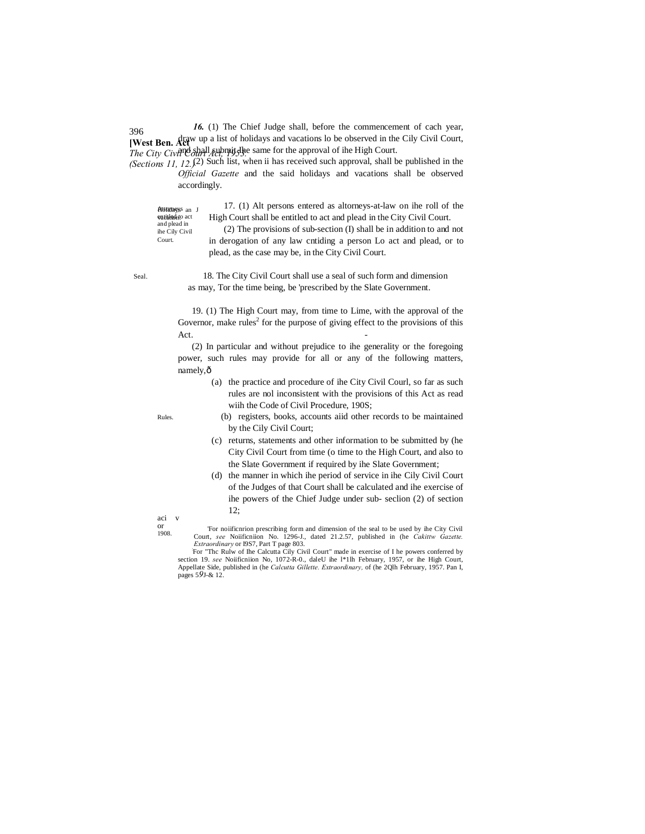396 **[West Ben. Act** w up a list of holidays and vacations lo be observed in the Cily Civil Court, *The City Civil Court Act, 1953.* Same for the approval of ihe High Court. *16.* (1) The Chief Judge shall, before the commencement of cach year,

*(Sections 11, 12.)* (2) Such list, when ii has received such approval, shall be published in the *Official Gazette* and the said holidays and vacations shall be observed accordingly.

Attorneys Holidays an J entitlednto act and plead in ihe Cily Civil Court.

17. (1) Alt persons entered as altorneys-at-law on ihe roll of the High Court shall be entitled to act and plead in the City Civil Court.

(2) The provisions of sub-section (I) shall be in addition to and not in derogation of any law cntiding a person Lo act and plead, or to plead, as the case may be, in the City Civil Court.

Seal. 18. The City Civil Court shall use a seal of such form and dimension as may, Tor the time being, be 'prescribed by the Slate Government.

> 19. (1) The High Court may, from time to Lime, with the approval of the Governor, make rules<sup>2</sup> for the purpose of giving effect to the provisions of this  $\det$ .

> (2) In particular and without prejudice to ihe generality or the foregoing power, such rules may provide for all or any of the following matters, namely, $\hat{o}$

> > (a) the practice and procedure of ihe City Civil Courl, so far as such rules are nol inconsistent with the provisions of this Act as read wiih the Code of Civil Procedure, 190S;

Rules.

- (b) registers, books, accounts aiid other records to be maintained by the Cily Civil Court;
- (c) returns, statements and other information to be submitted by (he City Civil Court from time (o time to the High Court, and also to the Slate Government if required by ihe Slate Government;
- (d) the manner in which ihe period of service in ihe Cily Civil Court of the Judges of that Court shall be calculated and ihe exercise of ihe powers of the Chief Judge under sub- seclion (2) of section 12;

aci v or 1908.

<sup>&#</sup>x27;For noiificnrion prescribing form and dimension of the seal to be used by ihe City Civil Court, *see* Noiificniion No. 1296-J., dated 21.2.57, published in (he *Cakittw Gazette. Extraordinary* or I9S7, Part T page 803.

For "The Rulw of Ihe Calcutta Cily Civil Court" made in exercise of I he powers conferred by section 19. *see* Noiificniion No, 1072-R-0., daleU ihe l\*1lh February, 1957, or ihe High Court, Appellate Side, published in (he *Calcutta Gillette. Extraordinary,* of (he 2Qlh February, 1957. Pan I, pages 5*9*J-& 12.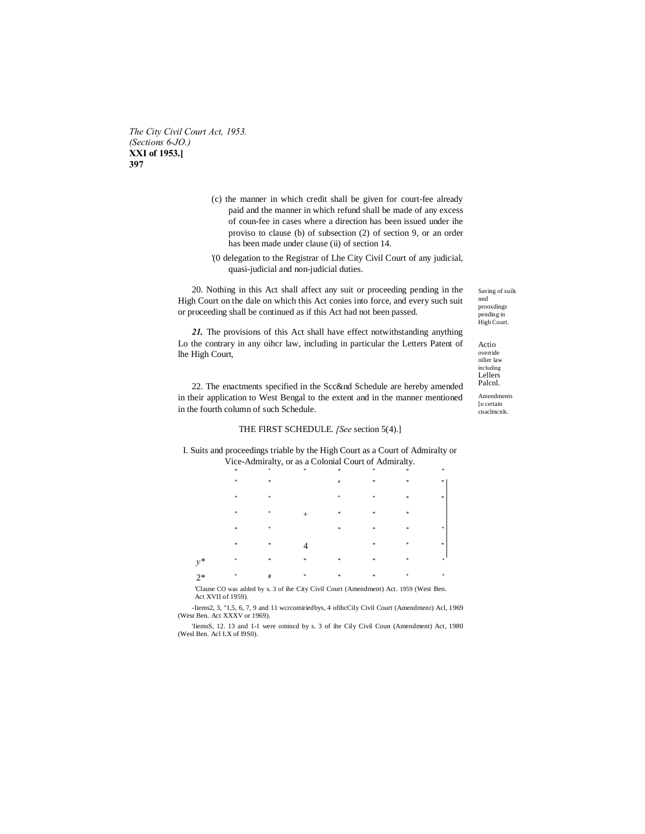The City Civil Court Act, 1953. (Sections 6-JO.) XXI of 1953.] 397

- (c) the manner in which credit shall be given for court-fee already paid and the manner in which refund shall be made of any excess of coun-fee in cases where a direction has been issued under ihe proviso to clause (b) of subsection (2) of section 9, or an order has been made under clause (ii) of section 14.
- '(0 delegation to the Registrar of Lhe City Civil Court of any judicial, quasi-judicial and non-judicial duties.

20. Nothing in this Act shall affect any suit or proceeding pending in the High Court on the dale on which this Act conies into force, and every such suit or proceeding shall be continued as if this Act had not been passed.

21. The provisions of this Act shall have effect notwithstanding anything Lo the contrary in any oiher law, including in particular the Letters Patent of lhe High Court,

22. The enactments specified in the Scc&nd Schedule are hereby amended in their application to West Bengal to the extent and in the manner mentioned in the fourth column of such Schedule.

## THE FIRST SCHEDULE. [See section 5(4).]

I. Suits and proceedings triable by the High Court as a Court of Admiralty or Vice-Admiralty, or as a Colonial Court of Admiralty.

|            | *                        | m.            | *             | - 285          | *             | *             | *             |
|------------|--------------------------|---------------|---------------|----------------|---------------|---------------|---------------|
|            | $\ast$                   | $\frac{1}{2}$ |               | $\#$           | $\ast$        | $\frac{1}{2}$ | *             |
|            | $\ast$                   | $\ast$        |               | $\frac{1}{2}$  | *             | \$            | $\approx$     |
|            | $\ast$                   | 永             | $^{+}$        | $\frac{1}{2}$  | \$            | \$            |               |
|            | $*$                      | 咏             |               | $\frac{1}{2}$  | \$            | \$            | $\frac{1}{2}$ |
|            | $\frac{1}{25}$           | $\frac{1}{2}$ |               |                | *             | *             | $\approx$     |
| $y^*$      | 車                        | $\frac{1}{2}$ | $\frac{1}{2}$ | $\frac{1}{25}$ | $\frac{1}{2}$ | *             | ×             |
| $2*$       | ×                        | $\#$          | $\approx$     | $\frac{1}{25}$ | $\frac{1}{2}$ | *             | $\frac{1}{2}$ |
| $\sim$ $-$ | <b>Contract Contract</b> |               | $-$<br>------ | $\sim$ $\sim$  | $\sim$        | $-$           | $\sim$        |

CO was added by s. 3 of ihe City Civil Court (Amendment) Act. 1959 (West Ben. 'Clause Act XVII of 1959).

-Iiems2, 3, "1,5, 6, 7, 9 and 11 wcrcomiriedbys, 4 of<br>ihcCily Civil Court (Amendmenr) Acl, 1969 (Wesr Ben. Act XXXV or 1969).

TiemsS, 12. 13 and 1-1 were omined by s. 3 of ihe Cily Civil Coun (Amendment) Act, 1980 (Wesl Ben. Acl LX of I9S0).

Saving of suils nnd prooxdings pending in High Court.

Actio override oilier law including Lellers Palcnl.

Amendments To certain cnaclmcnls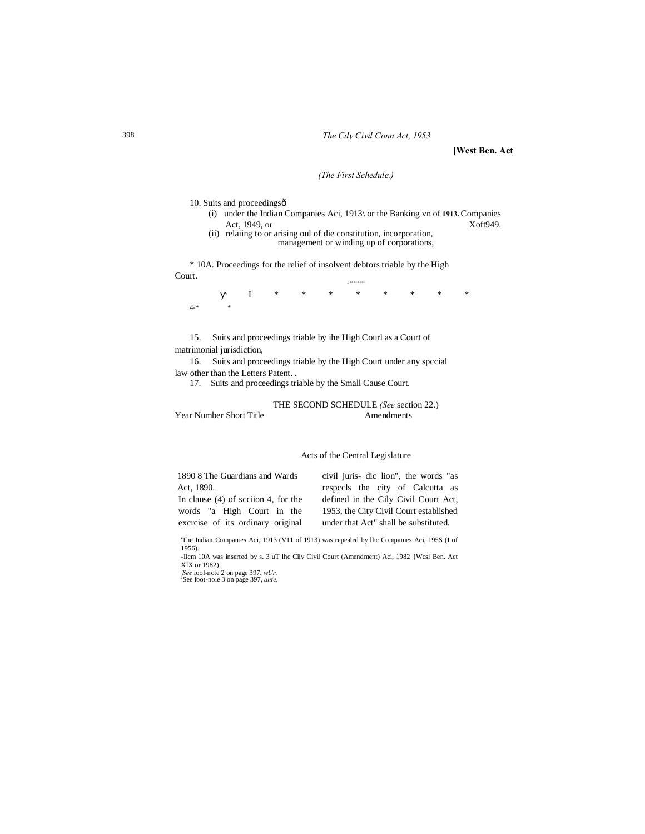#### The Cily Civil Conn Act, 1953.

[West Ben. Act

## (The First Schedule.)

10. Suits and proceedingsô

- (i) under the Indian Companies Aci, 1913\ or the Banking vn of 1913. Companies Act, 1949, or Xoft949.
- (ii) relating to or arising oul of die constitution, incorporation,<br>management or winding up of corporations,

\* 10A. Proceedings for the relief of insolvent debtors triable by the High Court.

 $\overline{I}$  $4.$ \*  $\ast$ 

Suits and proceedings triable by ihe High Courl as a Court of 15. matrimonial jurisdiction,

Suits and proceedings triable by the High Court under any special 16. law other than the Letters Patent...

17. Suits and proceedings triable by the Small Cause Court.

THE SECOND SCHEDULE (See section 22.)

Year Number Short Title

Amendments

#### Acts of the Central Legislature

1890 8 The Guardians and Wards Act. 1890. In clause  $(4)$  of scciion 4, for the

words "a High Court in the

excrcise of its ordinary original

civil juris- dic lion", the words "as respecls the city of Calcutta as defined in the Cily Civil Court Act, 1953, the City Civil Court established under that Act" shall be substituted.

'The Indian Companies Aci, 1913 (V11 of 1913) was repealed by lhc Companies Aci, 195S (I of 1956).

-Ilcm 10A was inserted by s. 3 uT lhc Cily Civil Court (Amendment) Aci, 1982 {Wcsl Ben. Act XIX or 1982).<br>
'See fool-note 2 on page 397. wUr.<br>
'See foot-nole 3 on page 397, ante.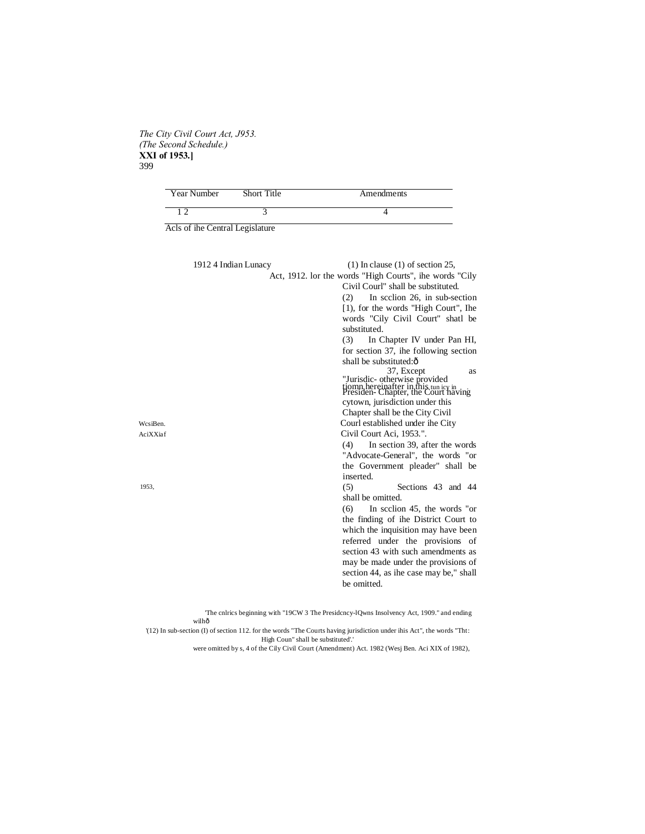## *The City Civil Court Act, J953. (The Second Schedule.)* **XXI of 1953.]** 399

| Year Number                     | Short Title | Amendments |
|---------------------------------|-------------|------------|
|                                 |             |            |
| Acls of ihe Central Legislature |             |            |

|          | 1912 4 Indian Lunacy | $(1)$ In clause $(1)$ of section 25,                                                                                                                                       |
|----------|----------------------|----------------------------------------------------------------------------------------------------------------------------------------------------------------------------|
|          |                      | Act, 1912. lor the words "High Courts", ihe words "Cily<br>Civil Courl" shall be substituted.<br>In scclion 26, in sub-section<br>(2)                                      |
|          |                      | [1], for the words "High Court", Ihe<br>words "Cily Civil Court" shatl be<br>substituted.                                                                                  |
|          |                      | (3)<br>In Chapter IV under Pan HI,                                                                                                                                         |
|          |                      | for section 37, ihe following section                                                                                                                                      |
|          |                      | shall be substituted:ô                                                                                                                                                     |
|          |                      | 37, Except<br><b>as</b><br>"Jurisdic- otherwise provided<br>tiomn hereinafter in this tun icy in<br>Presiden- Chapter, the Court having<br>cytown, jurisdiction under this |
|          |                      | Chapter shall be the City Civil                                                                                                                                            |
| WcsiBen. |                      | Courl established under ihe City                                                                                                                                           |
| AciXXiaf |                      | Civil Court Aci, 1953.".                                                                                                                                                   |
|          |                      | In section 39, after the words<br>(4)                                                                                                                                      |
|          |                      | "Advocate-General", the words "or                                                                                                                                          |
|          |                      | the Government pleader" shall be                                                                                                                                           |
|          |                      | inserted.                                                                                                                                                                  |
| 1953.    |                      | Sections 43 and 44<br>(5)<br>shall be omitted.                                                                                                                             |
|          |                      | (6)<br>In section 45, the words "or                                                                                                                                        |
|          |                      | the finding of the District Court to                                                                                                                                       |
|          |                      | which the inquisition may have been                                                                                                                                        |
|          |                      | referred under the provisions of                                                                                                                                           |
|          |                      | section 43 with such amendments as                                                                                                                                         |
|          |                      | may be made under the provisions of                                                                                                                                        |
|          |                      | section 44, as ihe case may be," shall<br>be omitted.                                                                                                                      |

'The cnlrics beginning with "19CW 3 The Presidcncy-lQwns Insolvency Act, 1909." and ending wilhô

'(12) In sub-section (I) of section 112. for the words "The Courts having jurisdiction under ihis Act", the words "Tht: High Coun" shall be substituted'.'

were omitted by s, 4 of the Cily Civil Court (Amendment) Act. 1982 (Wesj Ben. Aci XIX of 1982),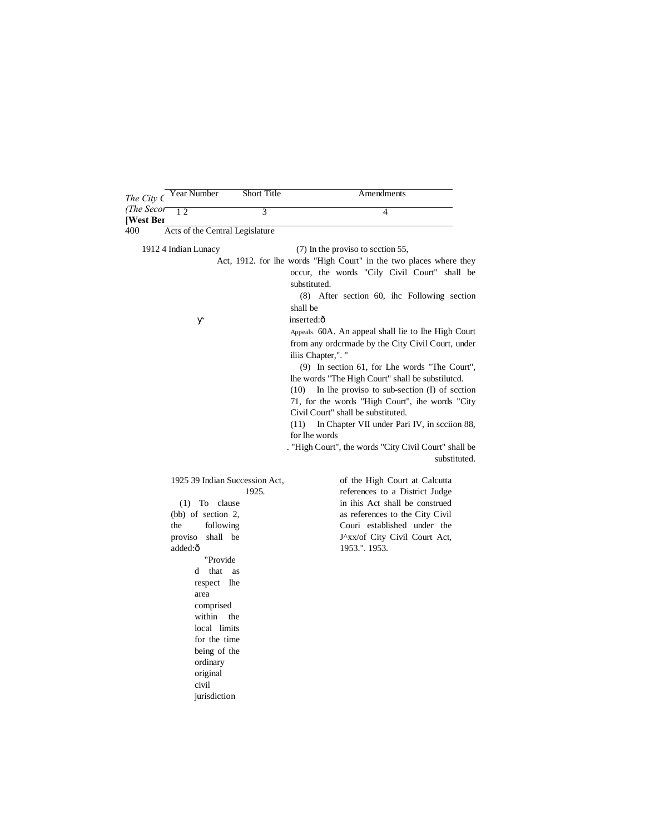| The City C       | Year Number                                                             |                                                                                                                                                                                                            | Short Title                             | Amendments                                                                                                                                                                                                                                                                                                                                                                                                                                                                                                                                                                                                                                                                                                                                               |
|------------------|-------------------------------------------------------------------------|------------------------------------------------------------------------------------------------------------------------------------------------------------------------------------------------------------|-----------------------------------------|----------------------------------------------------------------------------------------------------------------------------------------------------------------------------------------------------------------------------------------------------------------------------------------------------------------------------------------------------------------------------------------------------------------------------------------------------------------------------------------------------------------------------------------------------------------------------------------------------------------------------------------------------------------------------------------------------------------------------------------------------------|
| (The Secor       | 12                                                                      |                                                                                                                                                                                                            | 3                                       | $\overline{\mathcal{A}}$                                                                                                                                                                                                                                                                                                                                                                                                                                                                                                                                                                                                                                                                                                                                 |
| [West Ber<br>400 | Acts of the Central Legislature                                         |                                                                                                                                                                                                            |                                         |                                                                                                                                                                                                                                                                                                                                                                                                                                                                                                                                                                                                                                                                                                                                                          |
|                  | 1912 4 Indian Lunacy                                                    |                                                                                                                                                                                                            |                                         | (7) In the proviso to section 55,                                                                                                                                                                                                                                                                                                                                                                                                                                                                                                                                                                                                                                                                                                                        |
|                  |                                                                         |                                                                                                                                                                                                            |                                         | Act, 1912. for lhe words "High Court" in the two places where they<br>occur, the words "Cily Civil Court" shall be<br>substituted.<br>(8) After section 60, ihc Following section<br>shall be<br>inserted:ô<br>Appeals. 60A. An appeal shall lie to lhe High Court<br>from any ordermade by the City Civil Court, under<br>iliis Chapter,". "<br>(9) In section 61, for Lhe words "The Court",<br>lhe words "The High Court" shall be substiluted.<br>In the proviso to sub-section $(I)$ of scction<br>(10)<br>71, for the words "High Court", ihe words "City"<br>Civil Court" shall be substituted.<br>In Chapter VII under Pari IV, in scciion 88,<br>(11)<br>for lhe words<br>. "High Court", the words "City Civil Court" shall be<br>substituted. |
|                  | $(bb)$ of section 2,<br>the<br>proviso<br>added:ô<br>d<br>area<br>civil | $(1)$ To clause<br>following<br>shall be<br>"Provide<br>that<br>as<br>respect<br>lhe<br>comprised<br>within<br>the<br>local limits<br>for the time<br>being of the<br>ordinary<br>original<br>jurisdiction | 1925 39 Indian Succession Act,<br>1925. | of the High Court at Calcutta<br>references to a District Judge<br>in ihis Act shall be construed<br>as references to the City Civil<br>Couri established under the<br>J^xx/of City Civil Court Act,<br>1953.". 1953.                                                                                                                                                                                                                                                                                                                                                                                                                                                                                                                                    |

L,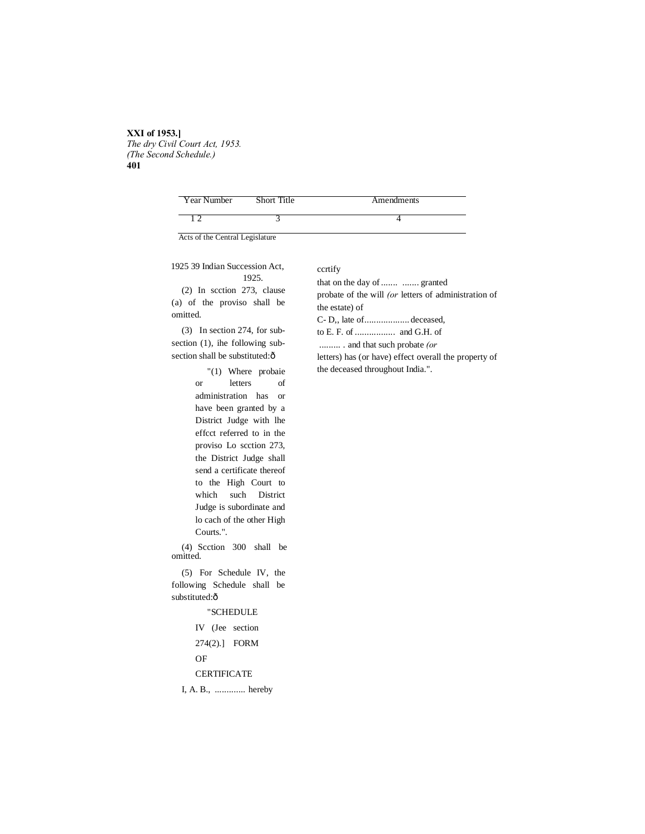#### **XXI of 1953.]** *The dry Civil Court Act, 1953. (The Second Schedule.)* **401**

| Year Number | Short Title | Amendments |
|-------------|-------------|------------|
|             |             |            |

Acts of the Central Legislature

## 1925 39 Indian Succession Act, 1925.

(2) In scction 273, clause (a) of the proviso shall be omitted.

(3) In section 274, for subsection (1), ihe following subsection shall be substituted: $\hat{o}$ 

> "(1) Where probaie or letters of administration has or have been granted by a District Judge with lhe effcct referred to in the proviso Lo scction 273, the District Judge shall send a certificate thereof to the High Court to which such District Judge is subordinate and lo cach of the other High Courts.".

(4) Scction 300 shall be omitted.

(5) For Schedule IV, the following Schedule shall be substituted: $\hat{o}$ 

## "SCHEDULE

IV (Jee section 274(2).] FORM OF

**CERTIFICATE** 

I, A. B., ............. hereby

## ccrtify

that on the day of ....... ....... granted probate of the will *(or* letters of administration of the estate) of C- D,, late of................... deceased, to E. F. of ................. and G.H. of ......... . and that such probate *(or* letters) has (or have) effect overall the property of

the deceased throughout India.".